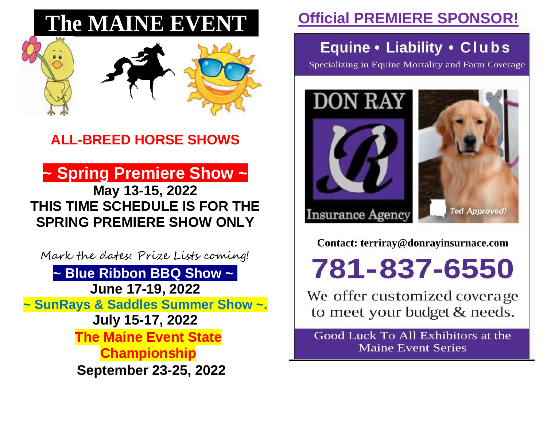# **The MAINE EVENT..**



# **ALL-BREED HORSE SHOWS**

**~ Spring Premiere Show ~ May 13-15, 2022 THIS TIME SCHEDULE IS FOR THE SPRING PREMIERE SHOW ONLY**

Mark the dates: Prize Lists coming! **~ Blue Ribbon BBQ Show ~. June 17-19, 2022 ~ SunRays & Saddles Summer Show ~. July 15-17, 2022 The Maine Event State Championship September 23-25, 2022**

# **Official PREMIERE SPONSOR!**

## Equine • Liability • Clubs

Specializing in Equine Mortality and Farm Coverage





Contact: terriray@donrayinsurnace.com

781-837-6550

We offer customized coverage to meet your budget & needs.

Good Luck To All Exhibitors at the **Maine Event Series**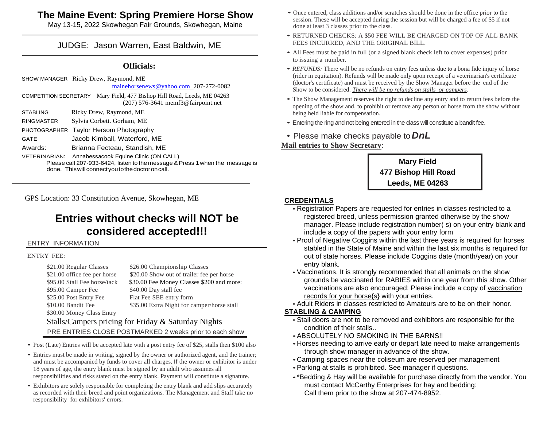#### **The Maine Event: Spring Premiere Horse Show**

May 13-15, 2022 Skowhegan Fair Grounds, Skowhegan, Maine

#### JUDGE: Jason Warren, East Baldwin, ME

#### **Officials:**

SHOW MANAGER Ricky Drew, Raymond, ME

[mainehorsenews@yahoo.com](mailto:mainehorsenews@yahoo.com) 207-272-0082

COMPETITION SECRETARY Mary Field, 477 Bishop Hill Road, Leeds, ME 04263 (207) 576-3641 memf3@fairpoint.net

| <b>STABLING</b>  | Ricky Drew, Raymond, ME                                                         |
|------------------|---------------------------------------------------------------------------------|
| <b>DIMAMATED</b> | $C_{\text{rel}}$ . $C_{\text{rel}}$ . $C_{\text{rel}}$ . $C_{\text{rel}}$ . $M$ |

RINGMASTER Sylvia Corbett. Gorham, ME PHOTOGRAPHER Taylor Hersom Photography

GATE Jacob Kimball, Waterford, ME

Awards: Brianna Fecteau, Standish, ME

VETERINARIAN: Annabessacook Equine Clinic (ON CALL)

Please call 207-933-6424, listen to the message & Press 1 when the message is done. This will connect you to the doctor on call.

GPS Location: 33 Constitution Avenue, Skowhegan, ME

## **Entries without checks will NOT be considered accepted!!!**

#### ENTRY INFORMATION

#### ENTRY FEE:

\$21.00 Regular Classes \$26.00 Championship Classes \$21.00 office fee per horse ... \$20.00 Show out of trailer fee per horse \$95.00 Stall Fee horse/tack \$30.00 Fee Money Classes \$200 and more: \$95.00 Camper Fee \$40.00 Day stall fee \$25.00 Post Entry Fee Flat Fee SEE entry form \$10.00 Bandit Fee \$35.00 Extra Night for camper/horse stall \$30.00 Money Class Entry Stalls/Campers pricing for Friday & Saturday Nights PRE ENTRIES CLOSE POSTMARKED 2 weeks prior to each show

- Post (Late) Entries will be accepted late with a post entry fee of \$25, stalls then \$100 also
- Entries must be made in writing, signed by the owner or authorized agent, and the trainer; and must be accompanied by funds to cover all charges. If the owner or exhibitor is under 18 years of age, the entry blank must be signed by an adult who assumes all responsibilities and risks stated on the entry blank. Payment will constitute a signature.
- Exhibitors are solely responsible for completing the entry blank and add slips accurately as recorded with their breed and point organizations. The Management and Staff take no responsibility for exhibitors' errors.
- Once entered, class additions and/or scratches should be done in the office prior to the session. These will be accepted during the session but will be charged a fee of \$5 if not done at least 3 classes prior to the class.
- RETURNED CHECKS: A \$50 FEE WILL BE CHARGED ON TOP OF ALL BANK FEES INCURRED, AND THE ORIGINAL BILL.
- All Fees must be paid in full (or a signed blank check left to cover expenses) prior to issuing a number.
- *REFUNDS*: There will be no refunds on entry fees unless due to a bona fide injury of horse (rider in equitation). Refunds will be made only upon receipt of a veterinarian's certificate (doctor's certificate) and must be received by the Show Manager before the end of the Show to be considered. *There will be no refunds on stalls or campers.*
- The Show Management reserves the right to decline any entry and to return fees before the opening of the show and, to prohibit or remove any person or horse from the show without being held liable for compensation.
- Entering the ring and not being entered in the class will constitute a bandit fee.
- Please make checks payable to*DnL*

#### **Mail entries to Show Secretary**:



#### **CREDENTIALS**

- Registration Papers are requested for entries in classes restricted to a registered breed, unless permission granted otherwise by the show manager. Please include registration number( s) on your entry blank and include a copy of the papers with your entry form
- •Proof of Negative Coggins within the last three years is required for horses stabled in the State of Maine and within the last six months is required for out of state horses. Please include Coggins date (month/year) on your entry blank.
- •Vaccinations. It is strongly recommended that all animals on the show grounds be vaccinated for RABIES within one year from this show. Other vaccinations are also encouraged: Please include a copy of vaccination records for your horse{s} with your entries.

•Adult Riders in classes restricted to Amateurs are to be on their honor.

#### **STABLING & CAMPING**

- •Stall doors are not to be removed and exhibitors are responsible for the condition of their stalls..
- •ABSOLUTELY NO SMOKING IN THE BARNS!!
- •Horses needing to arrive early or depart late need to make arrangements through show manager in advance of the show.
- •Camping spaces near the coliseum are reserved per management
- •Parking at stalls is prohibited. See manager if questions.
- •\*Bedding & Hay will be available for purchase directly from the vendor. You must contact McCarthy Enterprises for hay and bedding: Call them prior to the show at 207-474-8952.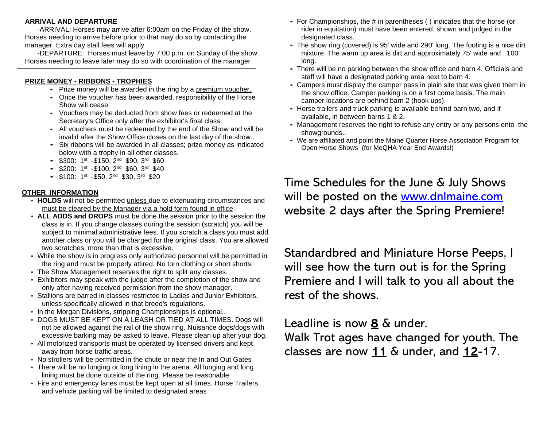#### **ARRIVAL AND DEPARTURE**

-ARRIVAL: Horses may arrive after 6:00am on the Friday of the show. Horses needing to arrive before prior to that may do so by contacting the manager. Extra day stall fees will apply.

-DEPARTURE: Horses must leave by 7:00 p.m. on Sunday of the show. Horses needing to leave later may do so with coordination of the manager

#### **PRIZE MONEY - RIBBONS - TROPHIES**

- Prize money will be awarded in the ring by a premium voucher.
- Once the voucher has been awarded, responsibility of the Horse Show will cease.
- Vouchers may be deducted from show fees or redeemed at the Secretary's Office only after the exhibitor's final class.
- All vouchers must be redeemed by the end of the Show and will be invalid after the Show Office closes on the last day of the show..
- Six ribbons will be awarded in all classes; prize money as indicated below with a trophy in all other classes.
- $\bullet$  \$300: 1<sup>st</sup> -\$150, 2<sup>nd</sup> \$90, 3<sup>rd</sup> \$60
- $\bullet$  \$200: 1st -\$100, 2<sup>nd</sup> \$60, 3<sup>rd</sup> \$40
- $\bullet$  \$100: 1<sup>st</sup> -\$50, 2<sup>nd</sup> \$30, 3<sup>rd</sup> \$20

#### **OTHER INFORMATION**

- **HOLDS** will not be permitted unless due to extenuating circumstances and must be cleared by the Manager via a hold form found in office.
- **ALL ADDS and DROPS** must be done the session prior to the session the class is in. If you change classes during the session (scratch) you will be subject to minimal administrative fees. If you scratch a class you must add another class or you will be charged for the original class. You are allowed two scratches, more than that is excessive.
- While the show is in progress only authorized personnel will be permitted in the ring and must be properly attired. No torn clothing or short shorts.
- The Show Management reserves the right to split any classes.
- Exhibitors may speak with the judge after the completion of the show and only after having received permission from the show manager.
- Stallions are barred in classes restricted to Ladies and Junior Exhibitors, unless specifically allowed in that breed's regulations.
- In the Morgan Divisions, stripping Championships is optional..
- DOGS MUST BE KEPT ON A LEASH OR TIED AT ALL TIMES. Dogs will not be allowed against the rail of the show ring. Nuisance dogs/dogs with excessive barking may be asked to leave. Please clean up after your dog.
- All motorized transports must be operated by licensed drivers and kept away from horse traffic areas.
- No strollers will be permitted in the chute or near the In and Out Gates
- There will be no lunging or long lining in the arena. All lunging and long lining must be done outside of the ring. Please be reasonable.
- Fire and emergency lanes must be kept open at all times. Horse Trailers and vehicle parking will be limited to designated areas
- For Championships, the # in parentheses ( ) indicates that the horse (or rider in equitation) must have been entered, shown and judged in the designated class.
- The show ring (covered) is 95' wide and 290' long. The footing is a nice dirt mixture. The warm up area is dirt and approximately 75' wide and 100' long.
- There will be no parking between the show office and barn 4. Officials and staff will have a designated parking area next to barn 4.
- Campers must display the camper pass in plain site that was given them in the show office. Camper parking is on a first come basis. The main camper locations are behind barn 2 (hook ups).
- Horse trailers and truck parking is available behind barn two, and if available, in between barns 1 & 2.
- Management reserves the right to refuse any entry or any persons onto the showgrounds..
- We are affiliated and point the Maine Quarter Horse Association Program for Open Horse Shows (for MeQHA Year End Awards!)

Time Schedules for the June & July Shows will be posted on the [www.dnlmaine.com](http://www.dnlmaine.com/) website 2 days after the Spring Premiere!

Standardbred and Miniature Horse Peeps, I will see how the turn out is for the Spring Premiere and I will talk to you all about the rest of the shows.

Leadline is now 8 & under. Walk Trot ages have changed for youth. The classes are now 11 & under, and 12-17.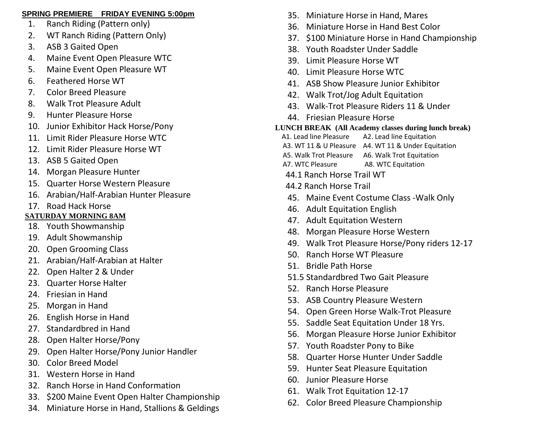#### **SPRING PREMIERE FRIDAY EVENING 5:00pm**

- 1. Ranch Riding (Pattern only)
- 2. WT Ranch Riding (Pattern Only)
- 3. ASB 3 Gaited Open
- 4. Maine Event Open Pleasure WTC
- 5. Maine Event Open Pleasure WT
- 6. Feathered Horse WT
- 7. Color Breed Pleasure
- 8. Walk Trot Pleasure Adult
- 9. Hunter Pleasure Horse
- 10. Junior Exhibitor Hack Horse/Pony
- 11. Limit Rider Pleasure Horse WTC
- 12. Limit Rider Pleasure Horse WT
- 13. ASB 5 Gaited Open
- 14. Morgan Pleasure Hunter
- 15. Quarter Horse Western Pleasure
- 16. Arabian/Half-Arabian Hunter Pleasure
- 17. Road Hack Horse

### **SATURDAY MORNING 8AM**

- 18. Youth Showmanship
- 19. Adult Showmanship
- 20. Open Grooming Class
- 21. Arabian/Half-Arabian at Halter
- 22. Open Halter 2 & Under
- 23. Quarter Horse Halter
- 24. Friesian in Hand
- 25. Morgan in Hand
- 26. English Horse in Hand
- 27. Standardbred in Hand
- 28. Open Halter Horse/Pony
- 29. Open Halter Horse/Pony Junior Handler
- 30. Color Breed Model
- 31. Western Horse in Hand
- 32. Ranch Horse in Hand Conformation
- 33. \$200 Maine Event Open Halter Championship
- 34. Miniature Horse in Hand, Stallions & Geldings
- 35. Miniature Horse in Hand, Mares
- 36. Miniature Horse in Hand Best Color
- 37. \$100 Miniature Horse in Hand Championship
- 38. Youth Roadster Under Saddle
- 39. Limit Pleasure Horse WT
- 40. Limit Pleasure Horse WTC
- 41. ASB Show Pleasure Junior Exhibitor
- 42. Walk Trot/Jog Adult Equitation
- 43. Walk-Trot Pleasure Riders 11 & Under
- 44. Friesian Pleasure Horse

#### **LUNCH BREAK (All Academy classes during lunch break)**

- A1. Lead line Pleasure A2. Lead line Equitation
- A3. WT 11 & U Pleasure A4. WT 11 & Under Equitation
- A5. Walk Trot Pleasure A6. Walk Trot Equitation
- A7. WTC Pleasure A8. WTC Equitation
- 44.1 Ranch Horse Trail WT
- 44.2 Ranch Horse Trail
- 45. Maine Event Costume Class -Walk Only
- 46. Adult Equitation English
- 47. Adult Equitation Western
- 48. Morgan Pleasure Horse Western
- 49. Walk Trot Pleasure Horse/Pony riders 12-17
- 50. Ranch Horse WT Pleasure
- 51. Bridle Path Horse
- 51.5 Standardbred Two Gait Pleasure
- 52. Ranch Horse Pleasure
- 53. ASB Country Pleasure Western
- 54. Open Green Horse Walk-Trot Pleasure
- 55. Saddle Seat Equitation Under 18 Yrs.
- 56. Morgan Pleasure Horse Junior Exhibitor
- 57. Youth Roadster Pony to Bike
- 58. Quarter Horse Hunter Under Saddle
- 59. Hunter Seat Pleasure Equitation
- 60. Junior Pleasure Horse
- 61. Walk Trot Equitation 12-17
- 62. Color Breed Pleasure Championship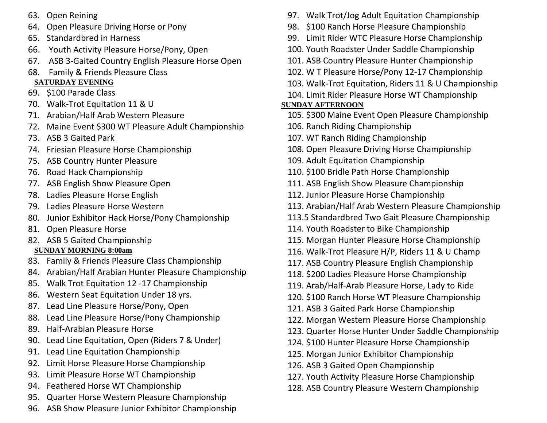- 63. Open Reining
- 64. Open Pleasure Driving Horse or Pony
- 65. Standardbred in Harness
- 66. Youth Activity Pleasure Horse/Pony, Open
- 67. ASB 3-Gaited Country English Pleasure Horse Open
- 68. Family & Friends Pleasure Class **SATURDAY EVENING**
- 69. \$100 Parade Class
- 70. Walk-Trot Equitation 11 & U
- 71. Arabian/Half Arab Western Pleasure
- 72. Maine Event \$300 WT Pleasure Adult Championship
- 73. ASB 3 Gaited Park
- 74. Friesian Pleasure Horse Championship
- 75. ASB Country Hunter Pleasure
- 76. Road Hack Championship
- 77. ASB English Show Pleasure Open
- 78. Ladies Pleasure Horse English
- 79. Ladies Pleasure Horse Western
- 80. Junior Exhibitor Hack Horse/Pony Championship
- 81. Open Pleasure Horse
- 82. ASB 5 Gaited Championship **SUNDAY MORNING 8:00am**
- 83. Family & Friends Pleasure Class Championship
- 84. Arabian/Half Arabian Hunter Pleasure Championship
- 85. Walk Trot Equitation 12 -17 Championship
- 86. Western Seat Equitation Under 18 yrs.
- 87. Lead Line Pleasure Horse/Pony, Open
- 88. Lead Line Pleasure Horse/Pony Championship
- 89. Half-Arabian Pleasure Horse
- 90. Lead Line Equitation, Open (Riders 7 & Under)
- 91. Lead Line Equitation Championship
- 92. Limit Horse Pleasure Horse Championship
- 93. Limit Pleasure Horse WT Championship
- 94. Feathered Horse WT Championship
- 95. Quarter Horse Western Pleasure Championship
- 96. ASB Show Pleasure Junior Exhibitor Championship
- 97. Walk Trot/Jog Adult Equitation Championship
- 98. \$100 Ranch Horse Pleasure Championship
- 99. Limit Rider WTC Pleasure Horse Championship
- 100. Youth Roadster Under Saddle Championship
- 101. ASB Country Pleasure Hunter Championship
- 102. W T Pleasure Horse/Pony 12-17 Championship
- 103. Walk-Trot Equitation, Riders 11 & U Championship
- 104. Limit Rider Pleasure Horse WT Championship

#### **SUNDAY AFTERNOON**

- 105. \$300 Maine Event Open Pleasure Championship
- 106. Ranch Riding Championship
- 107. WT Ranch Riding Championship
- 108. Open Pleasure Driving Horse Championship
- 109. Adult Equitation Championship
- 110. \$100 Bridle Path Horse Championship
- 111. ASB English Show Pleasure Championship
- 112. Junior Pleasure Horse Championship
- 113. Arabian/Half Arab Western Pleasure Championship
- 113.5 Standardbred Two Gait Pleasure Championship
- 114. Youth Roadster to Bike Championship
- 115. Morgan Hunter Pleasure Horse Championship
- 116. Walk-Trot Pleasure H/P, Riders 11 & U Champ
- 117. ASB Country Pleasure English Championship
- 118. \$200 Ladies Pleasure Horse Championship
- 119. Arab/Half-Arab Pleasure Horse, Lady to Ride
- 120. \$100 Ranch Horse WT Pleasure Championship
- 121. ASB 3 Gaited Park Horse Championship
- 122. Morgan Western Pleasure Horse Championship
- 123. Quarter Horse Hunter Under Saddle Championship
- 124. \$100 Hunter Pleasure Horse Championship
- 125. Morgan Junior Exhibitor Championship
- 126. ASB 3 Gaited Open Championship
- 127. Youth Activity Pleasure Horse Championship
- 128. ASB Country Pleasure Western Championship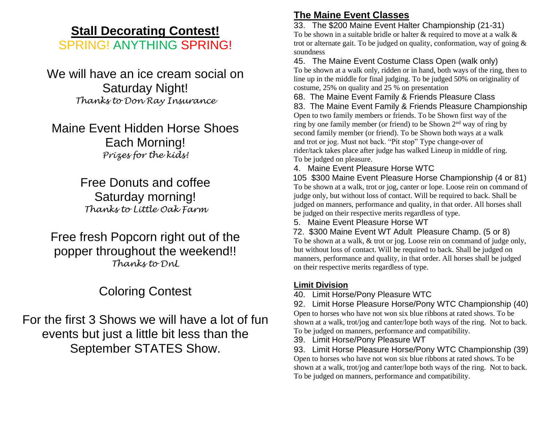## **Stall Decorating Contest!**

SPRING! ANYTHING SPRING!

We will have an ice cream social on Saturday Night! *Thanks to Don Ray Insurance*

Maine Event Hidden Horse Shoes Each Morning! *Prizes for the kids!*

> Free Donuts and coffee Saturday morning! *Thanks to Little Oak Farm*

Free fresh Popcorn right out of the popper throughout the weekend!! *Thanks to DnL*

## Coloring Contest

For the first 3 Shows we will have a lot of fun events but just a little bit less than the September STATES Show.

### **The Maine Event Classes**

33. The \$200 Maine Event Halter Championship (21-31) To be shown in a suitable bridle or halter & required to move at a walk & trot or alternate gait. To be judged on quality, conformation, way of going & soundness

45. The Maine Event Costume Class Open (walk only) To be shown at a walk only, ridden or in hand, both ways of the ring, then to line up in the middle for final judging. To be judged 50% on originality of costume, 25% on quality and 25 % on presentation

68. The Maine Event Family & Friends Pleasure Class 83. The Maine Event Family & Friends Pleasure Championship Open to two family members or friends. To be Shown first way of the ring by one family member (or friend) to be Shown 2nd way of ring by second family member (or friend). To be Shown both ways at a walk and trot or jog. Must not back. "Pit stop" Type change-over of rider/tack takes place after judge has walked Lineup in middle of ring. To be judged on pleasure.

4. Maine Event Pleasure Horse WTC

 105 \$300 Maine Event Pleasure Horse Championship (4 or 81) To be shown at a walk, trot or jog, canter or lope. Loose rein on command of judge only, but without loss of contact. Will be required to back. Shall be judged on manners, performance and quality, in that order. All horses shall be judged on their respective merits regardless of type.

5. Maine Event Pleasure Horse WT

 72. \$300 Maine Event WT Adult Pleasure Champ. (5 or 8) To be shown at a walk, & trot or jog. Loose rein on command of judge only, but without loss of contact. Will be required to back. Shall be judged on manners, performance and quality, in that order. All horses shall be judged on their respective merits regardless of type.

#### **Limit Division**

40. Limit Horse/Pony Pleasure WTC

92. Limit Horse Pleasure Horse/Pony WTC Championship (40) Open to horses who have not won six blue ribbons at rated shows. To be shown at a walk, trot/jog and canter/lope both ways of the ring. Not to back. To be judged on manners, performance and compatibility.

39. Limit Horse/Pony Pleasure WT

93. Limit Horse Pleasure Horse/Pony WTC Championship (39) Open to horses who have not won six blue ribbons at rated shows. To be shown at a walk, trot/jog and canter/lope both ways of the ring. Not to back. To be judged on manners, performance and compatibility.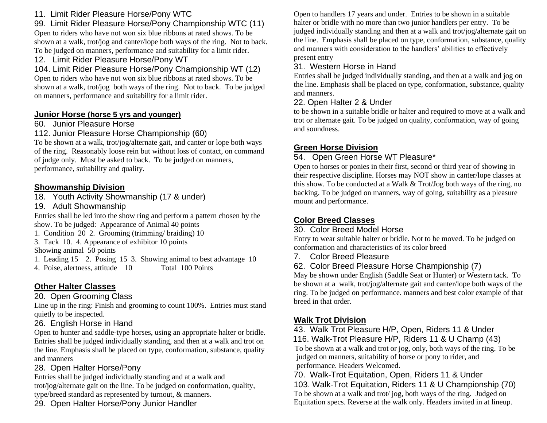#### 11. Limit Rider Pleasure Horse/Pony WTC

99. Limit Rider Pleasure Horse/Pony Championship WTC (11) Open to riders who have not won six blue ribbons at rated shows. To be

shown at a walk, trot/jog and canter/lope both ways of the ring. Not to back. To be judged on manners, performance and suitability for a limit rider.

12. Limit Rider Pleasure Horse/Pony WT

104. Limit Rider Pleasure Horse/Pony Championship WT (12) Open to riders who have not won six blue ribbons at rated shows. To be shown at a walk, trot/jog both ways of the ring. Not to back. To be judged on manners, performance and suitability for a limit rider.

#### **Junior Horse (horse 5 yrs and younger)**

#### 60. Junior Pleasure Horse

112. Junior Pleasure Horse Championship (60)

To be shown at a walk, trot/jog/alternate gait, and canter or lope both ways of the ring. Reasonably loose rein but without loss of contact, on command of judge only. Must be asked to back. To be judged on manners, performance, suitability and quality.

#### **Showmanship Division**

18. Youth Activity Showmanship (17 & under)

19. Adult Showmanship

Entries shall be led into the show ring and perform a pattern chosen by the show. To be judged: Appearance of Animal 40 points

1. Condition 20 2. Grooming (trimming/ braiding) 10

3. Tack 10. 4. Appearance of exhibitor 10 points

Showing animal 50 points

1. Leading 15 2. Posing 15 3. Showing animal to best advantage 10<br>4. Poise, alertness, attitude 10 Total 100 Points 4. Poise, alertness, attitude 10

## **Other Halter Classes**

20. Open Grooming Class

Line up in the ring: Finish and grooming to count 100%. Entries must stand quietly to be inspected.

#### 26. English Horse in Hand

Open to hunter and saddle-type horses, using an appropriate halter or bridle. Entries shall be judged individually standing, and then at a walk and trot on the line. Emphasis shall be placed on type, conformation, substance, quality and manners

## 28. Open Halter Horse/Pony

Entries shall be judged individually standing and at a walk and trot/jog/alternate gait on the line. To be judged on conformation, quality, type/breed standard as represented by turnout, & manners.

29. Open Halter Horse/Pony Junior Handler

Open to handlers 17 years and under. Entries to be shown in a suitable halter or bridle with no more than two junior handlers per entry. To be judged individually standing and then at a walk and trot/jog/alternate gait on the line. Emphasis shall be placed on type, conformation, substance, quality and manners with consideration to the handlers' abilities to effectively present entry

#### 31. Western Horse in Hand

Entries shall be judged individually standing, and then at a walk and jog on the line. Emphasis shall be placed on type, conformation, substance, quality and manners.

#### 22. Open Halter 2 & Under

to be shown in a suitable bridle or halter and required to move at a walk and trot or alternate gait. To be judged on quality, conformation, way of going and soundness.

#### **Green Horse Division**

#### 54. Open Green Horse WT Pleasure\*

Open to horses or ponies in their first, second or third year of showing in their respective discipline. Horses may NOT show in canter/lope classes at this show. To be conducted at a Walk & Trot/Jog both ways of the ring, no backing. To be judged on manners, way of going, suitability as a pleasure mount and performance.

### **Color Breed Classes**

#### 30. Color Breed Model Horse

Entry to wear suitable halter or bridle. Not to be moved. To be judged on conformation and characteristics of its color breed

7. Color Breed Pleasure

#### 62. Color Breed Pleasure Horse Championship (7)

May be shown under English (Saddle Seat or Hunter) or Western tack. To be shown at a walk, trot/jog/alternate gait and canter/lope both ways of the ring. To be judged on performance. manners and best color example of that breed in that order.

### **Walk Trot Division**

43. Walk Trot Pleasure H/P, Open, Riders 11 & Under

 116. Walk-Trot Pleasure H/P, Riders 11 & U Champ (43) To be shown at a walk and trot or jog, only, both ways of the ring. To be judged on manners, suitability of horse or pony to rider, and performance. Headers Welcomed.

70. Walk-Trot Equitation, Open, Riders 11 & Under

103. Walk-Trot Equitation, Riders 11 & U Championship (70) To be shown at a walk and trot/ jog, both ways of the ring. Judged on Equitation specs. Reverse at the walk only. Headers invited in at lineup.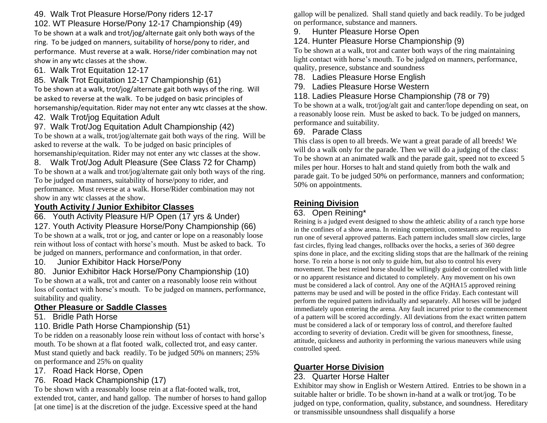#### 49. Walk Trot Pleasure Horse/Pony riders 12-17

102. WT Pleasure Horse/Pony 12-17 Championship (49) To be shown at a walk and trot/jog/alternate gait only both ways of the ring. To be judged on manners, suitability of horse/pony to rider, and performance. Must reverse at a walk. Horse/rider combination may not show in any wtc classes at the show.

61. Walk Trot Equitation 12-17

85. Walk Trot Equitation 12-17 Championship (61) To be shown at a walk, trot/jog/alternate gait both ways of the ring. Will be asked to reverse at the walk. To be judged on basic principles of horsemanship/equitation. Rider may not enter any wtc classes at the show.

42. Walk Trot/jog Equitation Adult

97. Walk Trot/Jog Equitation Adult Championship (42) To be shown at a walk, trot/jog/alternate gait both ways of the ring. Will be asked to reverse at the walk. To be judged on basic principles of horsemanship/equitation. Rider may not enter any wtc classes at the show.

8. Walk Trot/Jog Adult Pleasure (See Class 72 for Champ) To be shown at a walk and trot/jog/alternate gait only both ways of the ring. To be judged on manners, suitability of horse/pony to rider, and performance. Must reverse at a walk. Horse/Rider combination may not show in any wtc classes at the show.

#### **Youth Activity / Junior Exhibitor Classes**

66. Youth Activity Pleasure H/P Open (17 yrs & Under) 127. Youth Activity Pleasure Horse/Pony Championship (66) To be shown at a walk, trot or jog, and canter or lope on a reasonably loose rein without loss of contact with horse's mouth. Must be asked to back. To be judged on manners, performance and conformation, in that order.

10. Junior Exhibitor Hack Horse/Pony

80. Junior Exhibitor Hack Horse/Pony Championship (10) To be shown at a walk, trot and canter on a reasonably loose rein without loss of contact with horse's mouth. To be judged on manners, performance, suitability and quality.

#### **Other Pleasure or Saddle Classes**

51. Bridle Path Horse

110. Bridle Path Horse Championship (51)

To be ridden on a reasonably loose rein without loss of contact with horse's mouth. To be shown at a flat footed walk, collected trot, and easy canter. Must stand quietly and back readily. To be judged 50% on manners; 25% on performance and 25% on quality

17. Road Hack Horse, Open

#### 76. Road Hack Championship (17)

To be shown with a reasonably loose rein at a flat-footed walk, trot, extended trot, canter, and hand gallop. The number of horses to hand gallop [at one time] is at the discretion of the judge. Excessive speed at the hand

gallop will be penalized. Shall stand quietly and back readily. To be judged on performance, substance and manners.

9. Hunter Pleasure Horse Open

#### 124. Hunter Pleasure Horse Championship (9)

To be shown at a walk, trot and canter both ways of the ring maintaining light contact with horse's mouth. To be judged on manners, performance, quality, presence, substance and soundness

- 78. Ladies Pleasure Horse English
- 79. Ladies Pleasure Horse Western

118. Ladies Pleasure Horse Championship (78 or 79)

To be shown at a walk, trot/jog/alt gait and canter/lope depending on seat, on a reasonably loose rein. Must be asked to back. To be judged on manners, performance and suitability.

#### 69. Parade Class

This class is open to all breeds. We want a great parade of all breeds! We will do a walk only for the parade. Then we will do a judging of the class: To be shown at an animated walk and the parade gait, speed not to exceed 5 miles per hour. Horses to halt and stand quietly from both the walk and parade gait. To be judged 50% on performance, manners and conformation; 50% on appointments.

#### **Reining Division**

#### 63. Open Reining\*

Reining is a judged event designed to show the athletic ability of a ranch type horse in the confines of a show arena. In reining competition, contestants are required to run one of several approved patterns. Each pattern includes small slow circles, large fast circles, flying lead changes, rollbacks over the hocks, a series of 360 degree spins done in place, and the exciting sliding stops that are the hallmark of the reining horse. To rein a horse is not only to guide him, but also to control his every movement. The best reined horse should be willingly guided or controlled with little or no apparent resistance and dictated to completely. Any movement on his own must be considered a lack of control. Any one of the AQHA15 approved reining patterns may be used and will be posted in the office Friday. Each contestant will perform the required pattern individually and separately. All horses will be judged immediately upon entering the arena. Any fault incurred prior to the commencement of a pattern will be scored accordingly. All deviations from the exact written pattern must be considered a lack of or temporary loss of control, and therefore faulted according to severity of deviation. Credit will be given for smoothness, finesse, attitude, quickness and authority in performing the various maneuvers while using controlled speed.

#### **Quarter Horse Division**

#### 23. Quarter Horse Halter

Exhibitor may show in English or Western Attired. Entries to be shown in a suitable halter or bridle. To be shown in-hand at a walk or trot/jog. To be judged on type, conformation, quality, substance, and soundness. Hereditary or transmissible unsoundness shall disqualify a horse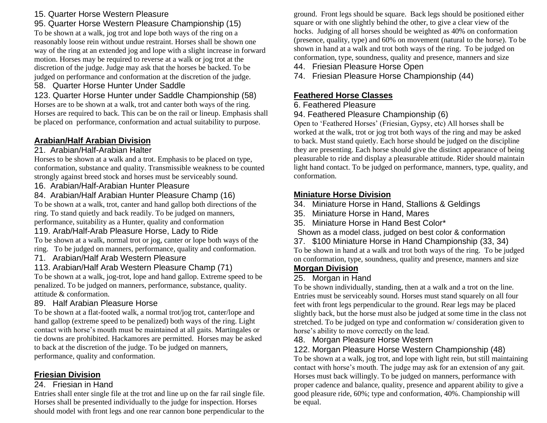#### 15. Quarter Horse Western Pleasure

#### 95. Quarter Horse Western Pleasure Championship (15)

To be shown at a walk, jog trot and lope both ways of the ring on a reasonably loose rein without undue restraint. Horses shall be shown one way of the ring at an extended jog and lope with a slight increase in forward motion. Horses may be required to reverse at a walk or jog trot at the discretion of the judge. Judge may ask that the horses be backed. To be judged on performance and conformation at the discretion of the judge.

#### 58. Quarter Horse Hunter Under Saddle

123. Quarter Horse Hunter under Saddle Championship (58) Horses are to be shown at a walk, trot and canter both ways of the ring. Horses are required to back. This can be on the rail or lineup. Emphasis shall be placed on performance, conformation and actual suitability to purpose.

#### **Arabian/Half Arabian Division**

#### 21. Arabian/Half-Arabian Halter

Horses to be shown at a walk and a trot. Emphasis to be placed on type, conformation, substance and quality. Transmissible weakness to be counted strongly against breed stock and horses must be serviceably sound.

#### 16. Arabian/Half-Arabian Hunter Pleasure

#### 84. Arabian/Half Arabian Hunter Pleasure Champ (16)

To be shown at a walk, trot, canter and hand gallop both directions of the ring. To stand quietly and back readily. To be judged on manners, performance, suitability as a Hunter, quality and conformation

#### 119. Arab/Half-Arab Pleasure Horse, Lady to Ride

To be shown at a walk, normal trot or jog, canter or lope both ways of the ring. To be judged on manners, performance, quality and conformation.

#### 71. Arabian/Half Arab Western Pleasure

#### 113. Arabian/Half Arab Western Pleasure Champ (71)

To be shown at a walk, jog-trot, lope and hand gallop. Extreme speed to be penalized. To be judged on manners, performance, substance, quality. attitude & conformation.

#### 89. Half Arabian Pleasure Horse

To be shown at a flat-footed walk, a normal trot/jog trot, canter/lope and hand gallop (extreme speed to be penalized) both ways of the ring. Light contact with horse's mouth must be maintained at all gaits. Martingales or tie downs are prohibited. Hackamores are permitted. Horses may be asked to back at the discretion of the judge. To be judged on manners, performance, quality and conformation.

#### **Friesian Division**

#### 24. Friesian in Hand

Entries shall enter single file at the trot and line up on the far rail single file. Horses shall be presented individually to the judge for inspection. Horses should model with front legs and one rear cannon bone perpendicular to the

ground. Front legs should be square. Back legs should be positioned either square or with one slightly behind the other, to give a clear view of the hocks. Judging of all horses should be weighted as 40% on conformation (presence, quality, type) and 60% on movement (natural to the horse). To be shown in hand at a walk and trot both ways of the ring. To be judged on conformation, type, soundness, quality and presence, manners and size

#### 44. Friesian Pleasure Horse Open

74. Friesian Pleasure Horse Championship (44)

#### **Feathered Horse Classes**

#### 6. Feathered Pleasure

#### 94. Feathered Pleasure Championship (6)

Open to 'Feathered Horses' (Friesian, Gypsy, etc) All horses shall be worked at the walk, trot or jog trot both ways of the ring and may be asked to back. Must stand quietly. Each horse should be judged on the discipline they are presenting. Each horse should give the distinct appearance of being pleasurable to ride and display a pleasurable attitude. Rider should maintain light hand contact. To be judged on performance, manners, type, quality, and conformation.

#### **Miniature Horse Division**

34. Miniature Horse in Hand, Stallions & Geldings

- 35. Miniature Horse in Hand, Mares
- 35. Miniature Horse in Hand Best Color\*

Shown as a model class, judged on best color & conformation

37. \$100 Miniature Horse in Hand Championship (33, 34) To be shown in hand at a walk and trot both ways of the ring. To be judged on conformation, type, soundness, quality and presence, manners and size

#### **Morgan Division**

#### 25. Morgan in Hand

To be shown individually, standing, then at a walk and a trot on the line. Entries must be serviceably sound. Horses must stand squarely on all four feet with front legs perpendicular to the ground. Rear legs may be placed slightly back, but the horse must also be judged at some time in the class not stretched. To be judged on type and conformation w/ consideration given to horse's ability to move correctly on the lead.

#### 48. Morgan Pleasure Horse Western

#### 122. Morgan Pleasure Horse Western Championship (48)

To be shown at a walk, jog trot, and lope with light rein, but still maintaining contact with horse's mouth. The judge may ask for an extension of any gait. Horses must back willingly. To be judged on manners, performance with proper cadence and balance, quality, presence and apparent ability to give a good pleasure ride, 60%; type and conformation, 40%. Championship will be equal.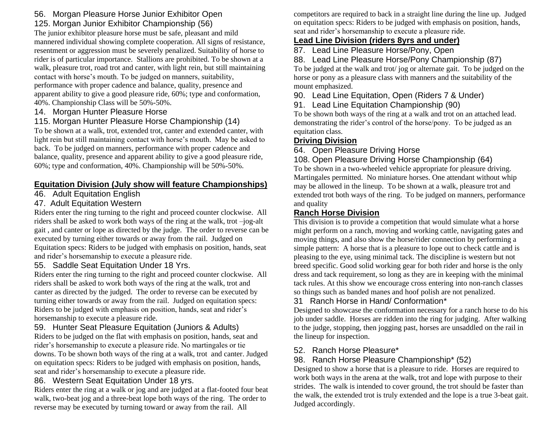#### 56. Morgan Pleasure Horse Junior Exhibitor Open 125. Morgan Junior Exhibitor Championship (56)

The junior exhibitor pleasure horse must be safe, pleasant and mild mannered individual showing complete cooperation. All signs of resistance, resentment or aggression must be severely penalized. Suitability of horse to rider is of particular importance. Stallions are prohibited. To be shown at a walk, pleasure trot, road trot and canter, with light rein, but still maintaining contact with horse's mouth. To be judged on manners, suitability, performance with proper cadence and balance, quality, presence and apparent ability to give a good pleasure ride, 60%; type and conformation, 40%. Championship Class will be 50%-50%.

#### 14. Morgan Hunter Pleasure Horse

#### 115. Morgan Hunter Pleasure Horse Championship (14)

To be shown at a walk, trot, extended trot, canter and extended canter, with light rein but still maintaining contact with horse's mouth. May be asked to back. To be judged on manners, performance with proper cadence and balance, quality, presence and apparent ability to give a good pleasure ride, 60%; type and conformation, 40%. Championship will be 50%-50%.

#### **Equitation Division (July show will feature Championships)**

#### 46. Adult Equitation English

#### 47. Adult Equitation Western

Riders enter the ring turning to the right and proceed counter clockwise. All riders shall be asked to work both ways of the ring at the walk, trot –jog-alt gait , and canter or lope as directed by the judge. The order to reverse can be executed by turning either towards or away from the rail. Judged on Equitation specs: Riders to be judged with emphasis on position, hands, seat and rider's horsemanship to execute a pleasure ride.

#### 55. Saddle Seat Equitation Under 18 Yrs.

Riders enter the ring turning to the right and proceed counter clockwise. All riders shall be asked to work both ways of the ring at the walk, trot and canter as directed by the judged. The order to reverse can be executed by turning either towards or away from the rail. Judged on equitation specs: Riders to be judged with emphasis on position, hands, seat and rider's horsemanship to execute a pleasure ride.

#### 59. Hunter Seat Pleasure Equitation (Juniors & Adults)

Riders to be judged on the flat with emphasis on position, hands, seat and rider's horsemanship to execute a pleasure ride. No martingales or tie downs. To be shown both ways of the ring at a walk, trot and canter. Judged on equitation specs: Riders to be judged with emphasis on position, hands, seat and rider's horsemanship to execute a pleasure ride.

#### 86. Western Seat Equitation Under 18 yrs.

Riders enter the ring at a walk or jog and are judged at a flat-footed four beat walk, two-beat jog and a three-beat lope both ways of the ring. The order to reverse may be executed by turning toward or away from the rail. All

competitors are required to back in a straight line during the line up. Judged on equitation specs: Riders to be judged with emphasis on position, hands, seat and rider's horsemanship to execute a pleasure ride.

#### **Lead Line Division (riders 8yrs and under)**

87. Lead Line Pleasure Horse/Pony, Open

88. Lead Line Pleasure Horse/Pony Championship (87) To be judged at the walk and trot/ jog or alternate gait. To be judged on the horse or pony as a pleasure class with manners and the suitability of the mount emphasized.

90. Lead Line Equitation, Open (Riders 7 & Under)

#### 91. Lead Line Equitation Championship (90)

To be shown both ways of the ring at a walk and trot on an attached lead. demonstrating the rider's control of the horse/pony. To be judged as an equitation class.

#### **Driving Division**

64. Open Pleasure Driving Horse

#### 108. Open Pleasure Driving Horse Championship (64)

To be shown in a two-wheeled vehicle appropriate for pleasure driving. Martingales permitted. No miniature horses. One attendant without whip may be allowed in the lineup. To be shown at a walk, pleasure trot and extended trot both ways of the ring. To be judged on manners, performance and quality

#### **Ranch Horse Division**

This division is to provide a competition that would simulate what a horse might perform on a ranch, moving and working cattle, navigating gates and moving things, and also show the horse/rider connection by performing a simple pattern: A horse that is a pleasure to lope out to check cattle and is pleasing to the eye, using minimal tack. The discipline is western but not breed specific. Good solid working gear for both rider and horse is the only dress and tack requirement, so long as they are in keeping with the minimal tack rules. At this show we encourage cross entering into non-ranch classes so things such as banded manes and hoof polish are not penalized.

#### 31 Ranch Horse in Hand/ Conformation\*

Designed to showcase the conformation necessary for a ranch horse to do his job under saddle. Horses are ridden into the ring for judging. After walking to the judge, stopping, then jogging past, horses are unsaddled on the rail in the lineup for inspection.

#### 52. Ranch Horse Pleasure\*

#### 98. Ranch Horse Pleasure Championship\* (52)

Designed to show a horse that is a pleasure to ride. Horses are required to work both ways in the arena at the walk, trot and lope with purpose to their strides. The walk is intended to cover ground, the trot should be faster than the walk, the extended trot is truly extended and the lope is a true 3-beat gait. Judged accordingly.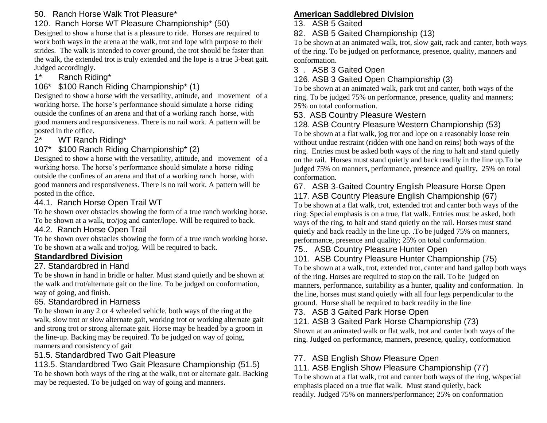#### 50. Ranch Horse Walk Trot Pleasure\*

#### 120. Ranch Horse WT Pleasure Championship\* (50)

Designed to show a horse that is a pleasure to ride. Horses are required to work both ways in the arena at the walk, trot and lope with purpose to their strides. The walk is intended to cover ground, the trot should be faster than the walk, the extended trot is truly extended and the lope is a true 3-beat gait. Judged accordingly.

#### 1\* Ranch Riding\*

### 106\* \$100 Ranch Riding Championship\* (1)

Designed to show a horse with the versatility, attitude, and movement of a working horse. The horse's performance should simulate a horse riding outside the confines of an arena and that of a working ranch horse, with good manners and responsiveness. There is no rail work. A pattern will be posted in the office.

2\* WT Ranch Riding\*

#### 107\* \$100 Ranch Riding Championship\* (2)

Designed to show a horse with the versatility, attitude, and movement of a working horse. The horse's performance should simulate a horse riding outside the confines of an arena and that of a working ranch horse, with good manners and responsiveness. There is no rail work. A pattern will be posted in the office.

#### 44.1. Ranch Horse Open Trail WT

To be shown over obstacles showing the form of a true ranch working horse. To be shown at a walk, tro/jog and canter/lope. Will be required to back.

#### 44.2. Ranch Horse Open Trail

To be shown over obstacles showing the form of a true ranch working horse. To be shown at a walk and tro/jog. Will be required to back.

#### **Standardbred Division**

#### 27. Standardbred in Hand

To be shown in hand in bridle or halter. Must stand quietly and be shown at the walk and trot/alternate gait on the line. To be judged on conformation, way of going, and finish.

#### 65. Standardbred in Harness

To be shown in any 2 or 4 wheeled vehicle, both ways of the ring at the walk, slow trot or slow alternate gait, working trot or working alternate gait and strong trot or strong alternate gait. Horse may be headed by a groom in the line-up. Backing may be required. To be judged on way of going, manners and consistency of gait

#### 51.5. Standardbred Two Gait Pleasure

## 113.5. Standardbred Two Gait Pleasure Championship (51.5)

To be shown both ways of the ring at the walk, trot or alternate gait. Backing may be requested. To be judged on way of going and manners.

## **American Saddlebred Division**

#### 13. ASB 5 Gaited

#### 82. ASB 5 Gaited Championship (13)

To be shown at an animated walk, trot, slow gait, rack and canter, both ways of the ring. To be judged on performance, presence, quality, manners and conformation.

#### 3 . ASB 3 Gaited Open

#### 126. ASB 3 Gaited Open Championship (3)

To be shown at an animated walk, park trot and canter, both ways of the ring. To be judged 75% on performance, presence, quality and manners; 25% on total conformation.

#### 53. ASB Country Pleasure Western

## 128. ASB Country Pleasure Western Championship (53)

To be shown at a flat walk, jog trot and lope on a reasonably loose rein without undue restraint (ridden with one hand on reins) both ways of the ring. Entries must be asked both ways of the ring to halt and stand quietly on the rail. Horses must stand quietly and back readily in the line up.To be judged 75% on manners, performance, presence and quality, 25% on total conformation.

#### 67. ASB 3-Gaited Country English Pleasure Horse Open 117. ASB Country Pleasure English Championship (67)

To be shown at a flat walk, trot, extended trot and canter both ways of the ring. Special emphasis is on a true, flat walk. Entries must be asked, both ways of the ring, to halt and stand quietly on the rail. Horses must stand quietly and back readily in the line up. .To be judged 75% on manners, performance, presence and quality; 25% on total conformation.

#### 75.. ASB Country Pleasure Hunter Open

#### 101. ASB Country Pleasure Hunter Championship (75)

To be shown at a walk, trot, extended trot, canter and hand gallop both ways of the ring. Horses are required to stop on the rail. To be judged on manners, performance, suitability as a hunter, quality and conformation. In the line, horses must stand quietly with all four legs perpendicular to the ground. Horse shall be required to back readily in the line

#### 73. ASB 3 Gaited Park Horse Open

#### 121. ASB 3 Gaited Park Horse Championship (73)

Shown at an animated walk or flat walk, trot and canter both ways of the ring. Judged on performance, manners, presence, quality, conformation

## 77. ASB English Show Pleasure Open

## 111. ASB English Show Pleasure Championship (77)

To be shown at a flat walk, trot and canter both ways of the ring, w/special emphasis placed on a true flat walk. Must stand quietly, back readily. Judged 75% on manners/performance; 25% on conformation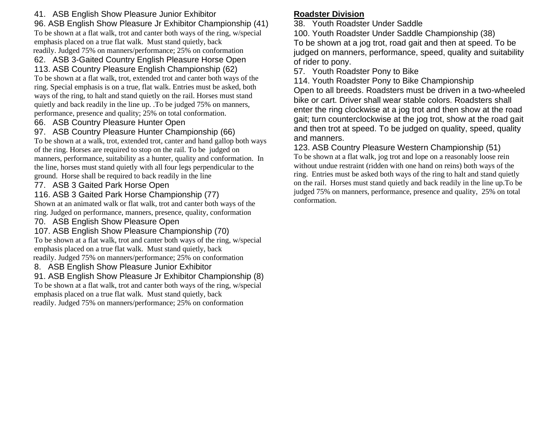#### 41. ASB English Show Pleasure Junior Exhibitor

96. ASB English Show Pleasure Jr Exhibitor Championship (41)

To be shown at a flat walk, trot and canter both ways of the ring, w/special emphasis placed on a true flat walk. Must stand quietly, back readily. Judged 75% on manners/performance; 25% on conformation

#### 62. ASB 3-Gaited Country English Pleasure Horse Open

#### 113. ASB Country Pleasure English Championship (62)

To be shown at a flat walk, trot, extended trot and canter both ways of the ring. Special emphasis is on a true, flat walk. Entries must be asked, both ways of the ring, to halt and stand quietly on the rail. Horses must stand quietly and back readily in the line up. .To be judged 75% on manners, performance, presence and quality; 25% on total conformation.

66. ASB Country Pleasure Hunter Open

#### 97. ASB Country Pleasure Hunter Championship (66)

To be shown at a walk, trot, extended trot, canter and hand gallop both ways of the ring. Horses are required to stop on the rail. To be judged on manners, performance, suitability as a hunter, quality and conformation. In the line, horses must stand quietly with all four legs perpendicular to the ground. Horse shall be required to back readily in the line

#### 77. ASB 3 Gaited Park Horse Open

116. ASB 3 Gaited Park Horse Championship (77)

Shown at an animated walk or flat walk, trot and canter both ways of the ring. Judged on performance, manners, presence, quality, conformation

#### 70. ASB English Show Pleasure Open

107. ASB English Show Pleasure Championship (70) To be shown at a flat walk, trot and canter both ways of the ring, w/special emphasis placed on a true flat walk. Must stand quietly, back readily. Judged 75% on manners/performance; 25% on conformation

#### 8. ASB English Show Pleasure Junior Exhibitor

91. ASB English Show Pleasure Jr Exhibitor Championship (8) To be shown at a flat walk, trot and canter both ways of the ring, w/special emphasis placed on a true flat walk. Must stand quietly, back readily. Judged 75% on manners/performance; 25% on conformation

#### **Roadster Division**

38. Youth Roadster Under Saddle

100. Youth Roadster Under Saddle Championship (38) To be shown at a jog trot, road gait and then at speed. To be judged on manners, performance, speed, quality and suitability of rider to pony.

57. Youth Roadster Pony to Bike

114. Youth Roadster Pony to Bike Championship

Open to all breeds. Roadsters must be driven in a two-wheeled bike or cart. Driver shall wear stable colors. Roadsters shall enter the ring clockwise at a jog trot and then show at the road gait; turn counterclockwise at the jog trot, show at the road gait and then trot at speed. To be judged on quality, speed, quality and manners.

123. ASB Country Pleasure Western Championship (51) To be shown at a flat walk, jog trot and lope on a reasonably loose rein without undue restraint (ridden with one hand on reins) both ways of the ring. Entries must be asked both ways of the ring to halt and stand quietly on the rail. Horses must stand quietly and back readily in the line up.To be judged 75% on manners, performance, presence and quality, 25% on total conformation.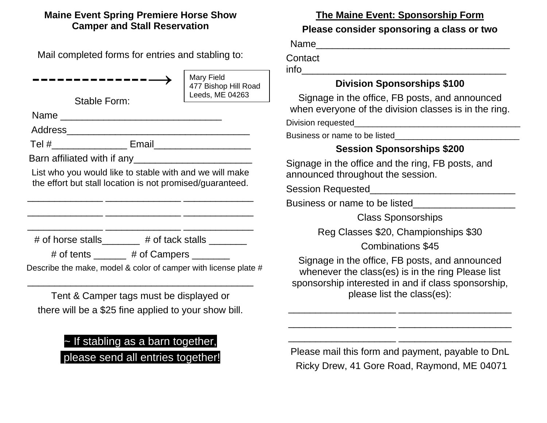#### **Maine Event Spring Premiere Horse Show Camper and Stall Reservation**

Mail completed forms for entries and stabling to:

--------------→ Stable Form: Name \_\_\_\_\_\_\_\_\_\_\_\_\_\_\_\_\_\_\_\_\_\_\_\_\_\_\_\_\_\_ Address\_\_\_\_\_\_\_\_\_\_\_\_\_\_\_\_\_\_\_\_\_\_\_\_\_\_\_\_\_\_\_\_\_\_ Tel #\_\_\_\_\_\_\_\_\_\_\_\_\_\_ Email\_\_\_\_\_\_\_\_\_\_\_\_\_\_\_\_\_\_ Barn affiliated with if any List who you would like to stable with and we will make the effort but stall location is not promised/guaranteed.  $\overline{\phantom{a}}$  , and the set of the set of the set of the set of the set of the set of the set of the set of the set of the set of the set of the set of the set of the set of the set of the set of the set of the set of the s \_\_\_\_\_\_\_\_\_\_\_\_\_\_ \_\_\_\_\_\_\_\_\_\_\_\_\_\_ \_\_\_\_\_\_\_\_\_\_\_\_\_ \_\_\_\_\_\_\_\_\_\_\_\_\_\_ \_\_\_\_\_\_\_\_\_\_\_\_\_\_ \_\_\_\_\_\_\_\_\_\_\_\_\_  $\#$  of horse stalls  $\#$  of tack stalls  $\qquad \qquad$ # of tents  $\qquad \qquad$  # of Campers Describe the make, model & color of camper with license plate # \_\_\_\_\_\_\_\_\_\_\_\_\_\_\_\_\_\_\_\_\_\_\_\_\_\_\_\_\_\_\_\_\_\_\_\_\_\_\_\_\_\_ Tent & Camper tags must be displayed or there will be a \$25 fine applied to your show bill. Mary Field 477 Bishop Hill Road Leeds, ME 04263

## ~ If stabling as a barn together, please send all entries together!

**The Maine Event: Sponsorship Form**

#### **Please consider sponsoring a class or two**

Name\_\_\_\_\_\_\_\_\_\_\_\_\_\_\_\_\_\_\_\_\_\_\_\_\_\_\_\_\_\_\_\_\_\_\_\_

**Contact** 

 $info$ 

### **Division Sponsorships \$100**

Signage in the office, FB posts, and announced when everyone of the division classes is in the ring.

Division requested\_\_\_\_\_\_\_\_\_\_\_\_\_\_\_\_\_\_\_\_\_\_\_\_\_\_\_\_\_\_\_\_\_\_\_\_

Business or name to be listed

### **Session Sponsorships \$200**

Signage in the office and the ring, FB posts, and announced throughout the session.

Session Requested **Session** Requested

Business or name to be listed

Class Sponsorships

Reg Classes \$20, Championships \$30

Combinations \$45

Signage in the office, FB posts, and announced whenever the class(es) is in the ring Please list sponsorship interested in and if class sponsorship, please list the class(es):

\_\_\_\_\_\_\_\_\_\_\_\_\_\_\_\_\_\_\_\_ \_\_\_\_\_\_\_\_\_\_\_\_\_\_\_\_\_\_\_\_\_

\_\_\_\_\_\_\_\_\_\_\_\_\_\_\_\_\_\_\_\_ \_\_\_\_\_\_\_\_\_\_\_\_\_\_\_\_\_\_\_\_\_

\_\_\_\_\_\_\_\_\_\_\_\_\_\_\_\_\_\_\_\_ \_\_\_\_\_\_\_\_\_\_\_\_\_\_\_\_\_\_\_\_\_

Please mail this form and payment, payable to DnL Ricky Drew, 41 Gore Road, Raymond, ME 04071